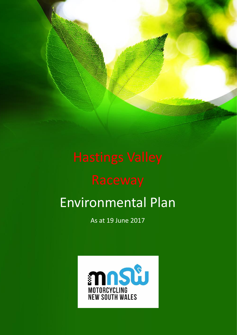# Environmental Plan

As at 19 June 2017

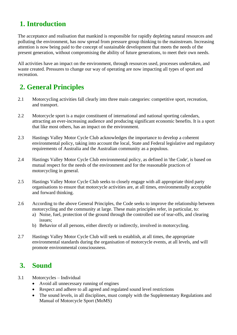### **1. Introduction**

The acceptance and realisation that mankind is responsible for rapidly depleting natural resources and polluting the environment, has now spread from pressure group thinking to the mainstream. Increasing attention is now being paid to the concept of sustainable development that meets the needs of the present generation, without compromising the ability of future generations, to meet their own needs.

All activities have an impact on the environment, through resources used, processes undertaken, and waste created. Pressures to change our way of operating are now impacting all types of sport and recreation.

### **2. General Principles**

- 2.1 Motorcycling activities fall clearly into three main categories: competitive sport, recreation, and transport.
- 2.2 Motorcycle sport is a major constituent of international and national sporting calendars, attracting an ever-increasing audience and producing significant economic benefits. It is a sport that like most others, has an impact on the environment.
- 2.3 Hastings Valley Motor Cycle Club acknowledges the importance to develop a coherent environmental policy, taking into account the local, State and Federal legislative and regulatory requirements of Australia and the Australian community as a populous.
- 2.4 Hastings Valley Motor Cycle Club environmental policy, as defined in 'the Code', is based on mutual respect for the needs of the environment and for the reasonable practices of motorcycling in general.
- 2.5 Hastings Valley Motor Cycle Club seeks to closely engage with all appropriate third party organisations to ensure that motorcycle activities are, at all times, environmentally acceptable and forward thinking.
- 2.6 According to the above General Principles, the Code seeks to improve the relationship between motorcycling and the community at large. These main principles refer, in particular, to:
	- a) Noise, fuel, protection of the ground through the controlled use of tear-offs, and clearing issues;
	- b) Behavior of all persons, either directly or indirectly, involved in motorcycling.
- 2.7 Hastings Valley Motor Cycle Club will seek to establish, at all times, the appropriate environmental standards during the organisation of motorcycle events, at all levels, and will promote environmental consciousness.

#### **3. Sound**

- 3.1 Motorcycles Individual
	- Avoid all unnecessary running of engines
	- Respect and adhere to all agreed and regulated sound level restrictions
	- The sound levels, in all disciplines, must comply with the Supplementary Regulations and Manual of Motorcycle Sport (MoMS)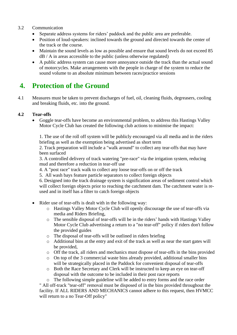#### 3.2 Communication

- Separate address systems for riders' paddock and the public area are preferable.
- Position of loud-speakers: inclined towards the ground and directed towards the center of the track or the course.
- Maintain the sound levels as low as possible and ensure that sound levels do not exceed 85 dB / A in areas accessible to the public (unless otherwise regulated)
- A public address system can cause more annoyance outside the track than the actual sound of motorcycles. Make arrangements with the people in charge of the system to reduce the sound volume to an absolute minimum between races/practice sessions

### **4. Protection of the Ground**

4.1 Measures must be taken to prevent discharges of fuel, oil, cleaning fluids, degreasers, cooling and breaking fluids, etc. into the ground.

#### **4.2 Tear-offs**

 Goggle tear-offs have become an environmental problem, to address this Hastings Valley Motor Cycle Club has created the following club actions to minimise the impact:

1. The use of the roll off system will be publicly encouraged via all media and in the riders briefing as well as the exemption being advertised as short term

2. Track preparation will include a "walk around" to collect any tear-offs that may have been surfaced

3. A controlled delivery of track watering "pre-race" via the irrigation system, reducing mud and therefore a reduction in tear-off use

- 4. A "post race" track walk to collect any loose tear-offs on or off the track
- 5. All wash bays feature particle separators to collect foreign objects

6. Designed into the track drainage system is signification areas of sediment control which will collect foreign objects prior to reaching the catchment dam. The catchment water is reused and in itself has a filter to catch foreign objects

- Rider use of tear-offs is dealt with in the following way:
	- o Hastings Valley Motor Cycle Club will openly discourage the use of tear-offs via media and Riders Briefing,
	- o The sensible disposal of tear-offs will be in the riders' hands with Hastings Valley Motor Cycle Club advertising a return to a "no tear-off" policy if riders don't follow the provided guides
	- o The disposal of tear-offs will be outlined in riders briefing
	- o Additional bins at the entry and exit of the track as well as near the start gates will be provided,
	- o Off the track, all riders and mechanics must dispose of tear-offs in the bins provided
	- o On top of the 3 commercial waste bins already provided, additional smaller bins will be strategically placed in the Paddock for convenient disposal of tear-offs
	- o Both the Race Secretary and Clerk will be instructed to keep an eye on tear-off disposal with the outcome to be included in their post race reports

o The following simple guideline will be added to entry forms and the race order " All off-track "tear-off" removal must be disposed of in the bins provided throughout the facility. If ALL RIDERS AND MECHANICS cannot adhere to this request, then HVMCC will return to a no Tear-Off policy"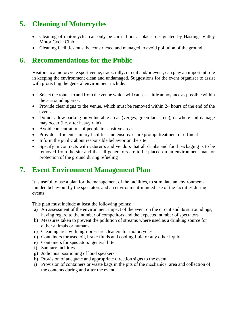## **5. Cleaning of Motorcycles**

- Cleaning of motorcycles can only be carried out at places designated by Hastings Valley Motor Cycle Club
- Cleaning facilities must be constructed and managed to avoid pollution of the ground

#### **6. Recommendations for the Public**

Visitors to a motorcycle sport venue, track, rally, circuit and/or event, can play an important role in keeping the environment clean and undamaged. Suggestions for the event organiser to assist with protecting the general environment include:

- Select the routes to and from the venue which will cause as little annoyance as possible within the surrounding area.
- Provide clear signs to the venue, which must be removed within 24 hours of the end of the event.
- Do not allow parking on vulnerable areas (verges, green lanes, etc), or where soil damage may occur (i.e. after heavy rain)
- Avoid concentrations of people in sensitive areas
- Provide sufficient sanitary facilities and ensure/secure prompt treatment of effluent
- Inform the public about responsible behavior on the site
- Specify in contracts with caterer's and vendors that all drinks and food packaging is to be removed from the site and that all generators are to be placed on an environment mat for protection of the ground during refueling

## **7. Event Environment Management Plan**

It is useful to use a plan for the management of the facilities, to stimulate an environmentminded behaviour by the spectators and an environment-minded use of the facilities during events.

This plan must include at least the following points:

- a) An assessment of the environment impact of the event on the circuit and its surroundings, having regard to the number of competitors and the expected number of spectators
- b) Measures taken to prevent the pollution of streams where used as a drinking source for either animals or humans
- c) Cleaning area with high-pressure cleaners for motorcycles
- d) Containers for used oil, brake fluids and cooling fluid or any other liquid
- e) Containers for spectators' general litter
- f) Sanitary facilities
- g) Judicious positioning of loud speakers
- h) Provision of adequate and appropriate direction signs to the event
- i) Provision of containers or waste bags in the pits of the mechanics' area and collection of the contents during and after the event